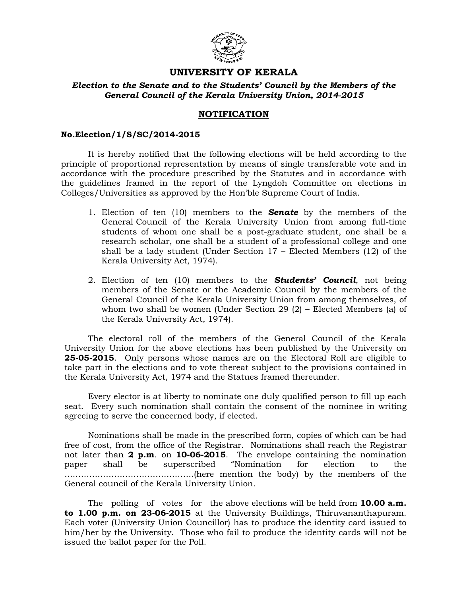

# UNIVERSITY OF KERALA

### Election to the Senate and to the Students' Council by the Members of the General Council of the Kerala University Union, 2014-2015

## NOTIFICATION

#### No.Election/1/S/SC/2014-2015

 It is hereby notified that the following elections will be held according to the principle of proportional representation by means of single transferable vote and in accordance with the procedure prescribed by the Statutes and in accordance with the guidelines framed in the report of the Lyngdoh Committee on elections in Colleges/Universities as approved by the Hon'ble Supreme Court of India.

- 1. Election of ten (10) members to the **Senate** by the members of the General Council of the Kerala University Union from among full-time students of whom one shall be a post-graduate student, one shall be a research scholar, one shall be a student of a professional college and one shall be a lady student (Under Section 17 – Elected Members (12) of the Kerala University Act, 1974).
- 2. Election of ten  $(10)$  members to the **Students' Council**, not being members of the Senate or the Academic Council by the members of the General Council of the Kerala University Union from among themselves, of whom two shall be women (Under Section 29 (2) – Elected Members (a) of the Kerala University Act, 1974).

 The electoral roll of the members of the General Council of the Kerala University Union for the above elections has been published by the University on 25-05-2015. Only persons whose names are on the Electoral Roll are eligible to take part in the elections and to vote thereat subject to the provisions contained in the Kerala University Act, 1974 and the Statues framed thereunder.

 Every elector is at liberty to nominate one duly qualified person to fill up each seat. Every such nomination shall contain the consent of the nominee in writing agreeing to serve the concerned body, if elected.

 Nominations shall be made in the prescribed form, copies of which can be had free of cost, from the office of the Registrar. Nominations shall reach the Registrar not later than 2 p.m. on 10-06-2015. The envelope containing the nomination paper shall be superscribed "Nomination for election to the ………………………………………..(here mention the body) by the members of the General council of the Kerala University Union.

The polling of votes for the above elections will be held from  $10.00$  a.m. to 1.00 p.m. on 23-06-2015 at the University Buildings, Thiruvananthapuram. Each voter (University Union Councillor) has to produce the identity card issued to him/her by the University. Those who fail to produce the identity cards will not be issued the ballot paper for the Poll.